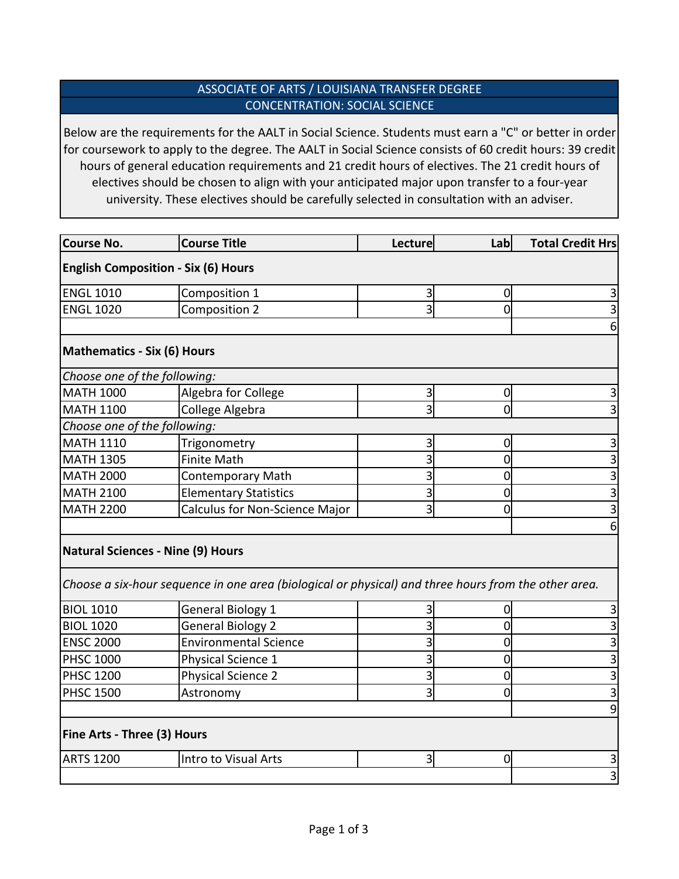## ASSOCIATE OF ARTS / LOUISIANA TRANSFER DEGREE CONCENTRATION: SOCIAL SCIENCE

Below are the requirements for the AALT in Social Science. Students must earn a "C" or better in order for coursework to apply to the degree. The AALT in Social Science consists of 60 credit hours: 39 credit hours of general education requirements and 21 credit hours of electives. The 21 credit hours of electives should be chosen to align with your anticipated major upon transfer to a four-year university. These electives should be carefully selected in consultation with an adviser.

| <b>Course No.</b>                          | <b>Course Title</b>                                                                                  | Lecture        | Lab            | <b>Total Credit Hrs</b> |  |
|--------------------------------------------|------------------------------------------------------------------------------------------------------|----------------|----------------|-------------------------|--|
| <b>English Composition - Six (6) Hours</b> |                                                                                                      |                |                |                         |  |
| <b>ENGL 1010</b>                           | Composition 1                                                                                        | 3              | $\overline{0}$ |                         |  |
| <b>ENGL 1020</b>                           | <b>Composition 2</b>                                                                                 | 3              | 0l             |                         |  |
|                                            |                                                                                                      |                |                | 6                       |  |
| <b>Mathematics - Six (6) Hours</b>         |                                                                                                      |                |                |                         |  |
| Choose one of the following:               |                                                                                                      |                |                |                         |  |
| <b>MATH 1000</b>                           | Algebra for College                                                                                  | $\overline{3}$ | $\overline{0}$ |                         |  |
| <b>MATH 1100</b>                           | College Algebra                                                                                      | 3              | 0              |                         |  |
| Choose one of the following:               |                                                                                                      |                |                |                         |  |
| <b>MATH 1110</b>                           | Trigonometry                                                                                         | 3              | 0              |                         |  |
| <b>MATH 1305</b>                           | <b>Finite Math</b>                                                                                   | 3              | 0              | 3                       |  |
| <b>MATH 2000</b>                           | <b>Contemporary Math</b>                                                                             | 3              | 0              | 3                       |  |
| <b>MATH 2100</b>                           | <b>Elementary Statistics</b>                                                                         | 3              | $\overline{0}$ |                         |  |
| <b>MATH 2200</b>                           | Calculus for Non-Science Major                                                                       | 3              | 0              |                         |  |
|                                            |                                                                                                      |                |                |                         |  |
| Natural Sciences - Nine (9) Hours          |                                                                                                      |                |                |                         |  |
|                                            | Choose a six-hour sequence in one area (biological or physical) and three hours from the other area. |                |                |                         |  |
| <b>BIOL 1010</b>                           | General Biology 1                                                                                    |                | 0              | 3                       |  |
| <b>BIOL 1020</b>                           | <b>General Biology 2</b>                                                                             |                | $\overline{0}$ |                         |  |
| <b>ENSC 2000</b>                           | <b>Environmental Science</b>                                                                         |                | 0              |                         |  |
| <b>PHSC 1000</b>                           | Physical Science 1                                                                                   | 3              | 0              | 3                       |  |
| <b>PHSC 1200</b>                           | <b>Physical Science 2</b>                                                                            | 3              | 0              | 3                       |  |
| <b>PHSC 1500</b>                           | Astronomy                                                                                            | 3              | $\Omega$       |                         |  |
|                                            |                                                                                                      |                |                | 9                       |  |
| <b>Fine Arts - Three (3) Hours</b>         |                                                                                                      |                |                |                         |  |
| <b>ARTS 1200</b>                           | Intro to Visual Arts                                                                                 | 3              | 0              |                         |  |
|                                            |                                                                                                      |                |                | 3                       |  |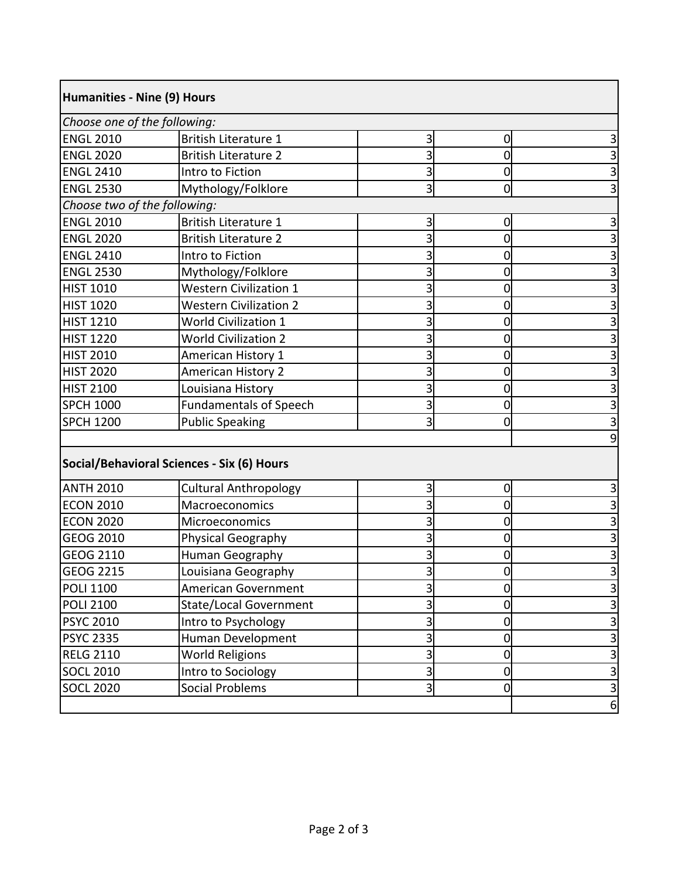| Humanities - Nine (9) Hours<br>Choose one of the following: |                               |   |              |   |
|-------------------------------------------------------------|-------------------------------|---|--------------|---|
|                                                             |                               |   |              |   |
| <b>ENGL 2020</b>                                            | <b>British Literature 2</b>   |   |              | 3 |
| <b>ENGL 2410</b>                                            | Intro to Fiction              |   | 0            | 3 |
| <b>ENGL 2530</b>                                            | Mythology/Folklore            | 3 | <sub>0</sub> | 3 |
| Choose two of the following:                                |                               |   |              |   |
| <b>ENGL 2010</b>                                            | <b>British Literature 1</b>   |   | 0            | 3 |
| <b>ENGL 2020</b>                                            | <b>British Literature 2</b>   |   |              | 3 |
| <b>ENGL 2410</b>                                            | Intro to Fiction              |   |              | 3 |
| <b>ENGL 2530</b>                                            | Mythology/Folklore            |   | 0            | 3 |
| <b>HIST 1010</b>                                            | <b>Western Civilization 1</b> |   |              | 3 |
| <b>HIST 1020</b>                                            | <b>Western Civilization 2</b> |   | 0            | 3 |
| <b>HIST 1210</b>                                            | <b>World Civilization 1</b>   |   | 0            | 3 |
| <b>HIST 1220</b>                                            | <b>World Civilization 2</b>   |   | O            | 3 |
| <b>HIST 2010</b>                                            | American History 1            |   |              | 3 |
| <b>HIST 2020</b>                                            | American History 2            |   | 0            | 3 |
| <b>HIST 2100</b>                                            | Louisiana History             |   |              | 3 |
| <b>SPCH 1000</b>                                            | <b>Fundamentals of Speech</b> |   | 0            | 3 |
| <b>SPCH 1200</b>                                            | <b>Public Speaking</b>        | 3 |              | 3 |
|                                                             |                               |   |              | 9 |
|                                                             |                               |   |              |   |

## **Social/Behavioral Sciences - Six (6) Hours**

| <b>ANTH 2010</b> | <b>Cultural Anthropology</b>  |  |    |
|------------------|-------------------------------|--|----|
| ECON 2010        | Macroeconomics                |  |    |
| ECON 2020        | <b>Microeconomics</b>         |  |    |
| <b>GEOG 2010</b> | <b>Physical Geography</b>     |  |    |
| <b>GEOG 2110</b> | Human Geography               |  |    |
| <b>GEOG 2215</b> | Louisiana Geography           |  |    |
| <b>POLI 1100</b> | American Government           |  |    |
| <b>POLI 2100</b> | <b>State/Local Government</b> |  |    |
| <b>PSYC 2010</b> | Intro to Psychology           |  |    |
| <b>PSYC 2335</b> | Human Development             |  |    |
| RELG 2110        | <b>World Religions</b>        |  |    |
| <b>SOCL 2010</b> | Intro to Sociology            |  |    |
| <b>SOCL 2020</b> | <b>Social Problems</b>        |  |    |
|                  |                               |  | 61 |